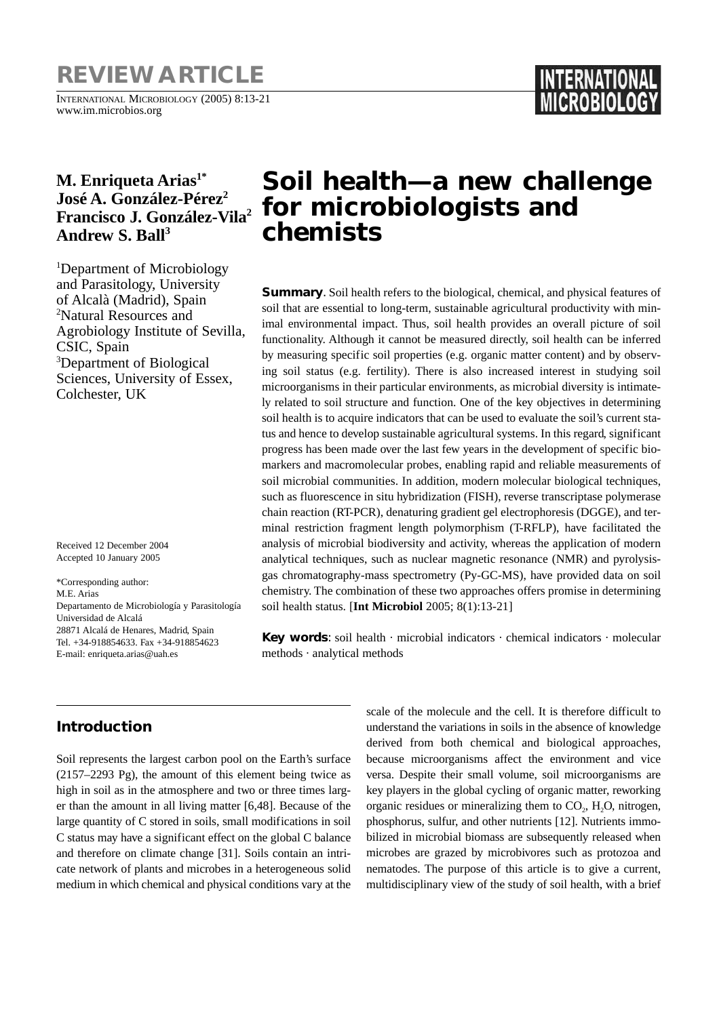# **REVIEW ARTICLE**

INTERNATIONAL MICROBIOLOGY (2005) 8:13-21 www.im.microbios.org

# **M. Enriqueta Arias1\* José A. González-Pérez2 Francisco J. González-Vila2** Andrew S. Ball<sup>3</sup>

<sup>1</sup>Department of Microbiology and Parasitology, University of Alcalà (Madrid), Spain 2 Natural Resources and Agrobiology Institute of Sevilla, CSIC, Spain 3 Department of Biological Sciences, University of Essex, Colchester, UK

Received 12 December 2004 Accepted 10 January 2005

\*Corresponding author: M.E. Arias Departamento de Microbiología y Parasitología Universidad de Alcalá 28871 Alcalá de Henares, Madrid, Spain Tel. +34-918854633. Fax +34-918854623 E-mail: enriqueta.arias@uah.es

# **Soil health—a new challenge for microbiologists and chemists**

**Summary**. Soil health refers to the biological, chemical, and physical features of soil that are essential to long-term, sustainable agricultural productivity with minimal environmental impact. Thus, soil health provides an overall picture of soil functionality. Although it cannot be measured directly, soil health can be inferred by measuring specific soil properties (e.g. organic matter content) and by observing soil status (e.g. fertility). There is also increased interest in studying soil microorganisms in their particular environments, as microbial diversity is intimately related to soil structure and function. One of the key objectives in determining soil health is to acquire indicators that can be used to evaluate the soil's current status and hence to develop sustainable agricultural systems. In this regard, significant progress has been made over the last few years in the development of specific biomarkers and macromolecular probes, enabling rapid and reliable measurements of soil microbial communities. In addition, modern molecular biological techniques, such as fluorescence in situ hybridization (FISH), reverse transcriptase polymerase chain reaction (RT-PCR), denaturing gradient gel electrophoresis (DGGE), and terminal restriction fragment length polymorphism (T-RFLP), have facilitated the analysis of microbial biodiversity and activity, whereas the application of modern analytical techniques, such as nuclear magnetic resonance (NMR) and pyrolysisgas chromatography-mass spectrometry (Py-GC-MS), have provided data on soil chemistry. The combination of these two approaches offers promise in determining soil health status. [**Int Microbiol** 2005; 8(1):13-21]

**Key words**: soil health · microbial indicators · chemical indicators · molecular methods · analytical methods

## **Introduction**

Soil represents the largest carbon pool on the Earth's surface (2157–2293 Pg), the amount of this element being twice as high in soil as in the atmosphere and two or three times larger than the amount in all living matter [6,48]. Because of the large quantity of C stored in soils, small modifications in soil C status may have a significant effect on the global C balance and therefore on climate change [31]. Soils contain an intricate network of plants and microbes in a heterogeneous solid medium in which chemical and physical conditions vary at the

scale of the molecule and the cell. It is therefore difficult to understand the variations in soils in the absence of knowledge derived from both chemical and biological approaches, because microorganisms affect the environment and vice versa. Despite their small volume, soil microorganisms are key players in the global cycling of organic matter, reworking organic residues or mineralizing them to  $CO<sub>2</sub>$ , H<sub>2</sub>O, nitrogen, phosphorus, sulfur, and other nutrients [12]. Nutrients immobilized in microbial biomass are subsequently released when microbes are grazed by microbivores such as protozoa and nematodes. The purpose of this article is to give a current, multidisciplinary view of the study of soil health, with a brief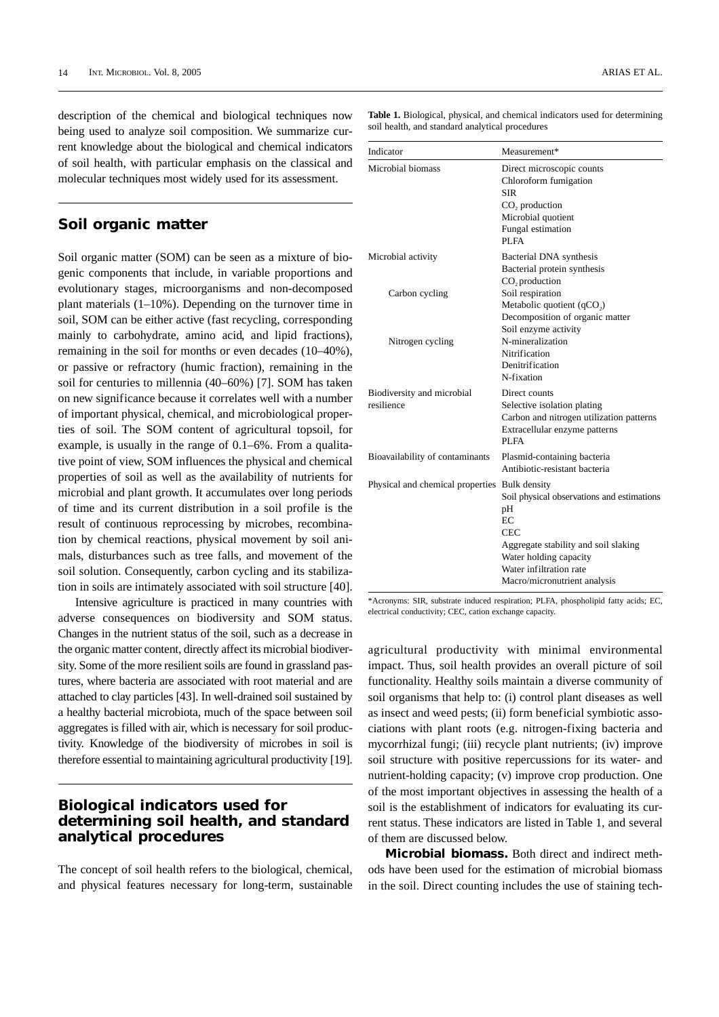description of the chemical and biological techniques now being used to analyze soil composition. We summarize current knowledge about the biological and chemical indicators of soil health, with particular emphasis on the classical and molecular techniques most widely used for its assessment.

### **Soil organic matter**

Soil organic matter (SOM) can be seen as a mixture of biogenic components that include, in variable proportions and evolutionary stages, microorganisms and non-decomposed plant materials (1–10%). Depending on the turnover time in soil, SOM can be either active (fast recycling, corresponding mainly to carbohydrate, amino acid, and lipid fractions), remaining in the soil for months or even decades (10–40%), or passive or refractory (humic fraction), remaining in the soil for centuries to millennia (40–60%) [7]. SOM has taken on new significance because it correlates well with a number of important physical, chemical, and microbiological properties of soil. The SOM content of agricultural topsoil, for example, is usually in the range of 0.1–6%. From a qualitative point of view, SOM influences the physical and chemical properties of soil as well as the availability of nutrients for microbial and plant growth. It accumulates over long periods of time and its current distribution in a soil profile is the result of continuous reprocessing by microbes, recombination by chemical reactions, physical movement by soil animals, disturbances such as tree falls, and movement of the soil solution. Consequently, carbon cycling and its stabilization in soils are intimately associated with soil structure [40].

Intensive agriculture is practiced in many countries with adverse consequences on biodiversity and SOM status. Changes in the nutrient status of the soil, such as a decrease in the organic matter content, directly affect its microbial biodiversity. Some of the more resilient soils are found in grassland pastures, where bacteria are associated with root material and are attached to clay particles [43]. In well-drained soil sustained by a healthy bacterial microbiota, much of the space between soil aggregates is filled with air, which is necessary for soil productivity. Knowledge of the biodiversity of microbes in soil is therefore essential to maintaining agricultural productivity [19].

#### **Biological indicators used for determining soil health, and standard analytical procedures**

The concept of soil health refers to the biological, chemical, and physical features necessary for long-term, sustainable

**Table 1.** Biological, physical, and chemical indicators used for determining soil health, and standard analytical procedures

| Indicator                                     | Measurement*                                                                                                                                       |
|-----------------------------------------------|----------------------------------------------------------------------------------------------------------------------------------------------------|
| Microbial biomass                             | Direct microscopic counts<br>Chloroform fumigation<br><b>SIR</b><br>CO <sub>2</sub> production<br>Microbial quotient<br>Fungal estimation<br>PI FA |
| Microbial activity                            | Bacterial DNA synthesis<br>Bacterial protein synthesis<br>CO <sub>2</sub> production                                                               |
| Carbon cycling                                | Soil respiration<br>Metabolic quotient $(qCO2)$<br>Decomposition of organic matter<br>Soil enzyme activity                                         |
| Nitrogen cycling                              | N-mineralization<br>Nitrification<br>Denitrification<br>N-fixation                                                                                 |
| Biodiversity and microbial<br>resilience      | Direct counts<br>Selective isolation plating<br>Carbon and nitrogen utilization patterns<br>Extracellular enzyme patterns<br>PLFA                  |
| Bioavailability of contaminants               | Plasmid-containing bacteria<br>Antibiotic-resistant bacteria                                                                                       |
| Physical and chemical properties Bulk density | Soil physical observations and estimations<br>pH<br>EC<br><b>CEC</b><br>Aggregate stability and soil slaking<br>Water holding capacity             |
|                                               | Water infiltration rate<br>Macro/micronutrient analysis                                                                                            |

\*Acronyms: SIR, substrate induced respiration; PLFA, phospholipid fatty acids; EC, electrical conductivity; CEC, cation exchange capacity.

agricultural productivity with minimal environmental impact. Thus, soil health provides an overall picture of soil functionality. Healthy soils maintain a diverse community of soil organisms that help to: (i) control plant diseases as well as insect and weed pests; (ii) form beneficial symbiotic associations with plant roots (e.g. nitrogen-fixing bacteria and mycorrhizal fungi; (iii) recycle plant nutrients; (iv) improve soil structure with positive repercussions for its water- and nutrient-holding capacity; (v) improve crop production. One of the most important objectives in assessing the health of a soil is the establishment of indicators for evaluating its current status. These indicators are listed in Table 1, and several of them are discussed below.

**Microbial biomass.** Both direct and indirect methods have been used for the estimation of microbial biomass in the soil. Direct counting includes the use of staining tech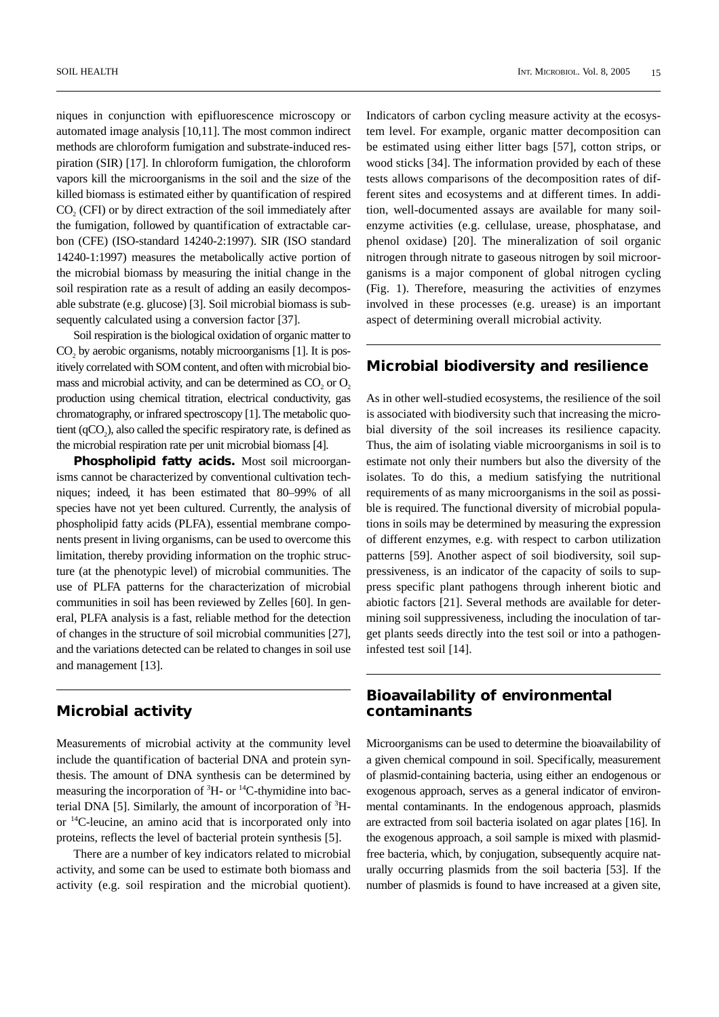niques in conjunction with epifluorescence microscopy or automated image analysis [10,11]. The most common indirect methods are chloroform fumigation and substrate-induced respiration (SIR) [17]. In chloroform fumigation, the chloroform vapors kill the microorganisms in the soil and the size of the killed biomass is estimated either by quantification of respired CO<sub>2</sub> (CFI) or by direct extraction of the soil immediately after the fumigation, followed by quantification of extractable carbon (CFE) (ISO-standard 14240-2:1997). SIR (ISO standard 14240-1:1997) measures the metabolically active portion of the microbial biomass by measuring the initial change in the soil respiration rate as a result of adding an easily decomposable substrate (e.g. glucose) [3]. Soil microbial biomass is subsequently calculated using a conversion factor [37].

Soil respiration is the biological oxidation of organic matter to CO<sub>2</sub> by aerobic organisms, notably microorganisms [1]. It is positively correlated with SOM content, and often with microbial biomass and microbial activity, and can be determined as  $CO<sub>2</sub>$  or  $O<sub>2</sub>$ production using chemical titration, electrical conductivity, gas chromatography, or infrared spectroscopy [1]. The metabolic quotient  $(qCO<sub>2</sub>)$ , also called the specific respiratory rate, is defined as the microbial respiration rate per unit microbial biomass [4].

**Phospholipid fatty acids.** Most soil microorganisms cannot be characterized by conventional cultivation techniques; indeed, it has been estimated that 80–99% of all species have not yet been cultured. Currently, the analysis of phospholipid fatty acids (PLFA), essential membrane components present in living organisms, can be used to overcome this limitation, thereby providing information on the trophic structure (at the phenotypic level) of microbial communities. The use of PLFA patterns for the characterization of microbial communities in soil has been reviewed by Zelles [60]. In general, PLFA analysis is a fast, reliable method for the detection of changes in the structure of soil microbial communities [27], and the variations detected can be related to changes in soil use and management [13].

## **Microbial activity**

Measurements of microbial activity at the community level include the quantification of bacterial DNA and protein synthesis. The amount of DNA synthesis can be determined by measuring the incorporation of  ${}^{3}$ H- or  ${}^{14}$ C-thymidine into bacterial DNA [5]. Similarly, the amount of incorporation of  ${}^{3}$ Hor 14C-leucine, an amino acid that is incorporated only into proteins, reflects the level of bacterial protein synthesis [5].

There are a number of key indicators related to microbial activity, and some can be used to estimate both biomass and activity (e.g. soil respiration and the microbial quotient).

Indicators of carbon cycling measure activity at the ecosystem level. For example, organic matter decomposition can be estimated using either litter bags [57], cotton strips, or wood sticks [34]. The information provided by each of these tests allows comparisons of the decomposition rates of different sites and ecosystems and at different times. In addition, well-documented assays are available for many soilenzyme activities (e.g. cellulase, urease, phosphatase, and phenol oxidase) [20]. The mineralization of soil organic nitrogen through nitrate to gaseous nitrogen by soil microorganisms is a major component of global nitrogen cycling (Fig. 1). Therefore, measuring the activities of enzymes involved in these processes (e.g. urease) is an important aspect of determining overall microbial activity.

### **Microbial biodiversity and resilience**

As in other well-studied ecosystems, the resilience of the soil is associated with biodiversity such that increasing the microbial diversity of the soil increases its resilience capacity. Thus, the aim of isolating viable microorganisms in soil is to estimate not only their numbers but also the diversity of the isolates. To do this, a medium satisfying the nutritional requirements of as many microorganisms in the soil as possible is required. The functional diversity of microbial populations in soils may be determined by measuring the expression of different enzymes, e.g. with respect to carbon utilization patterns [59]. Another aspect of soil biodiversity, soil suppressiveness, is an indicator of the capacity of soils to suppress specific plant pathogens through inherent biotic and abiotic factors [21]. Several methods are available for determining soil suppressiveness, including the inoculation of target plants seeds directly into the test soil or into a pathogeninfested test soil [14].

#### **Bioavailability of environmental contaminants**

Microorganisms can be used to determine the bioavailability of a given chemical compound in soil. Specifically, measurement of plasmid-containing bacteria, using either an endogenous or exogenous approach, serves as a general indicator of environmental contaminants. In the endogenous approach, plasmids are extracted from soil bacteria isolated on agar plates [16]. In the exogenous approach, a soil sample is mixed with plasmidfree bacteria, which, by conjugation, subsequently acquire naturally occurring plasmids from the soil bacteria [53]. If the number of plasmids is found to have increased at a given site,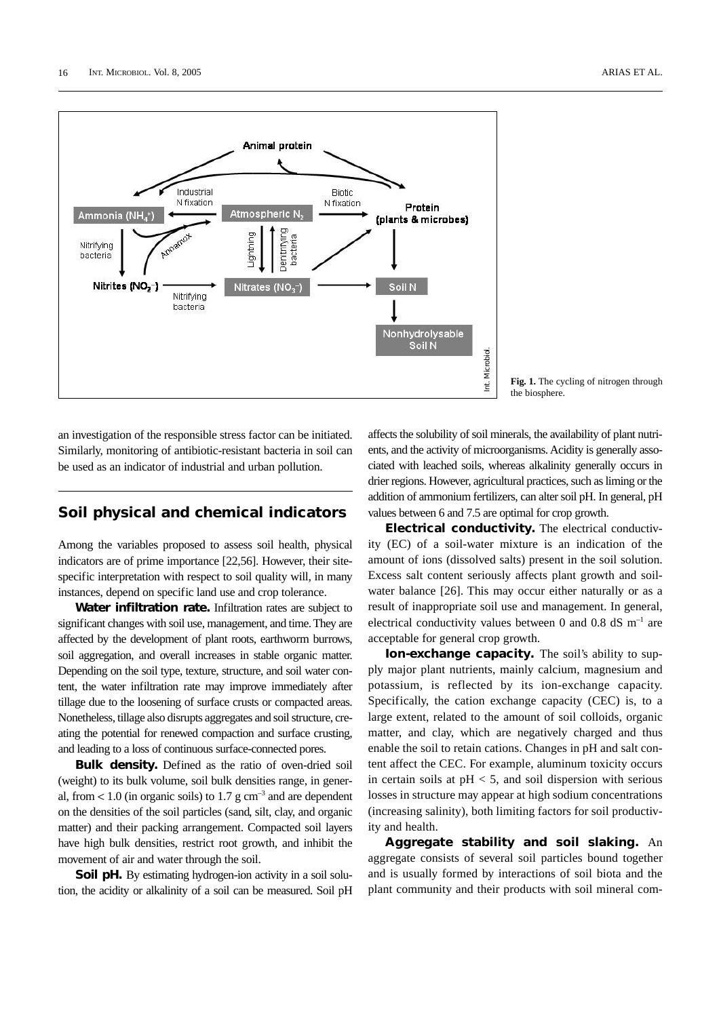

**Fig. 1.** The cycling of nitrogen through the biosphere.

an investigation of the responsible stress factor can be initiated. Similarly, monitoring of antibiotic-resistant bacteria in soil can be used as an indicator of industrial and urban pollution.

#### **Soil physical and chemical indicators**

Among the variables proposed to assess soil health, physical indicators are of prime importance [22,56]. However, their sitespecific interpretation with respect to soil quality will, in many instances, depend on specific land use and crop tolerance.

**Water infiltration rate.** Infiltration rates are subject to significant changes with soil use, management, and time. They are affected by the development of plant roots, earthworm burrows, soil aggregation, and overall increases in stable organic matter. Depending on the soil type, texture, structure, and soil water content, the water infiltration rate may improve immediately after tillage due to the loosening of surface crusts or compacted areas. Nonetheless, tillage also disrupts aggregates and soil structure, creating the potential for renewed compaction and surface crusting, and leading to a loss of continuous surface-connected pores.

**Bulk density.** Defined as the ratio of oven-dried soil (weight) to its bulk volume, soil bulk densities range, in general, from  $< 1.0$  (in organic soils) to 1.7 g cm<sup>-3</sup> and are dependent on the densities of the soil particles (sand, silt, clay, and organic matter) and their packing arrangement. Compacted soil layers have high bulk densities, restrict root growth, and inhibit the movement of air and water through the soil.

**Soil pH.** By estimating hydrogen-ion activity in a soil solution, the acidity or alkalinity of a soil can be measured. Soil pH affects the solubility of soil minerals, the availability of plant nutrients, and the activity of microorganisms. Acidity is generally associated with leached soils, whereas alkalinity generally occurs in drier regions. However, agricultural practices, such as liming or the addition of ammonium fertilizers, can alter soil pH. In general, pH values between 6 and 7.5 are optimal for crop growth.

**Electrical conductivity.** The electrical conductivity (EC) of a soil-water mixture is an indication of the amount of ions (dissolved salts) present in the soil solution. Excess salt content seriously affects plant growth and soilwater balance [26]. This may occur either naturally or as a result of inappropriate soil use and management. In general, electrical conductivity values between 0 and 0.8 dS  $\text{m}$ <sup>-1</sup> are acceptable for general crop growth.

**Ion-exchange capacity.** The soil's ability to supply major plant nutrients, mainly calcium, magnesium and potassium, is reflected by its ion-exchange capacity. Specifically, the cation exchange capacity (CEC) is, to a large extent, related to the amount of soil colloids, organic matter, and clay, which are negatively charged and thus enable the soil to retain cations. Changes in pH and salt content affect the CEC. For example, aluminum toxicity occurs in certain soils at  $pH < 5$ , and soil dispersion with serious losses in structure may appear at high sodium concentrations (increasing salinity), both limiting factors for soil productivity and health.

**Aggregate stability and soil slaking.** An aggregate consists of several soil particles bound together and is usually formed by interactions of soil biota and the plant community and their products with soil mineral com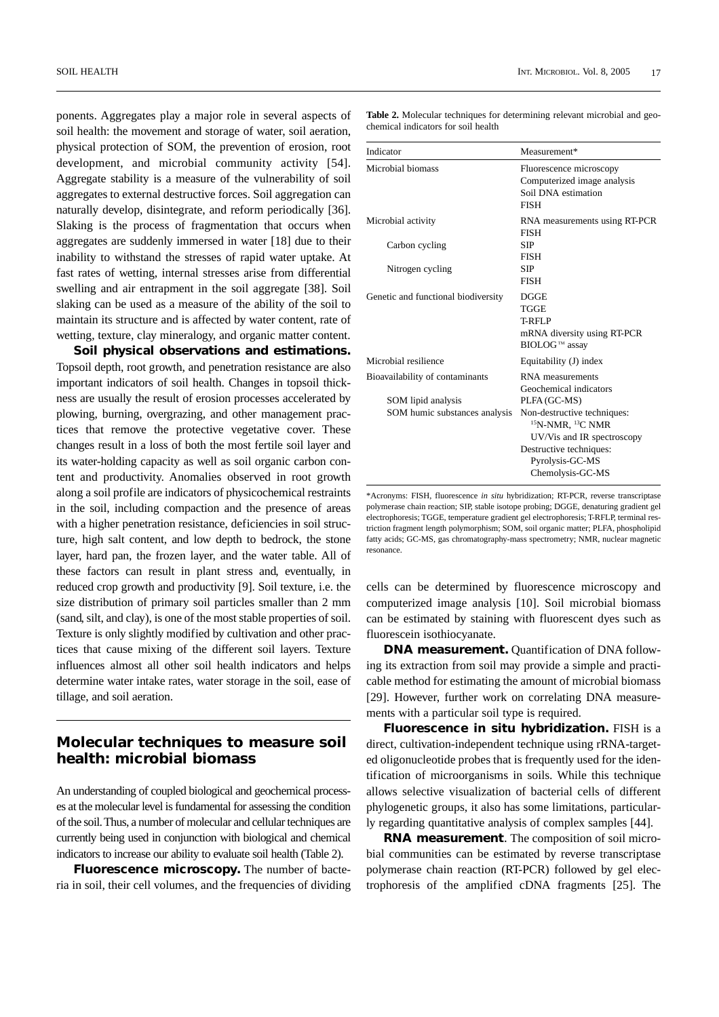ponents. Aggregates play a major role in several aspects of soil health: the movement and storage of water, soil aeration, physical protection of SOM, the prevention of erosion, root development, and microbial community activity [54]. Aggregate stability is a measure of the vulnerability of soil aggregates to external destructive forces. Soil aggregation can naturally develop, disintegrate, and reform periodically [36]. Slaking is the process of fragmentation that occurs when aggregates are suddenly immersed in water [18] due to their inability to withstand the stresses of rapid water uptake. At fast rates of wetting, internal stresses arise from differential swelling and air entrapment in the soil aggregate [38]. Soil slaking can be used as a measure of the ability of the soil to maintain its structure and is affected by water content, rate of wetting, texture, clay mineralogy, and organic matter content.

**Soil physical observations and estimations.** Topsoil depth, root growth, and penetration resistance are also important indicators of soil health. Changes in topsoil thickness are usually the result of erosion processes accelerated by plowing, burning, overgrazing, and other management practices that remove the protective vegetative cover. These changes result in a loss of both the most fertile soil layer and its water-holding capacity as well as soil organic carbon content and productivity. Anomalies observed in root growth along a soil profile are indicators of physicochemical restraints in the soil, including compaction and the presence of areas with a higher penetration resistance, deficiencies in soil structure, high salt content, and low depth to bedrock, the stone layer, hard pan, the frozen layer, and the water table. All of these factors can result in plant stress and, eventually, in reduced crop growth and productivity [9]. Soil texture, i.e. the size distribution of primary soil particles smaller than 2 mm (sand, silt, and clay), is one of the most stable properties of soil. Texture is only slightly modified by cultivation and other practices that cause mixing of the different soil layers. Texture influences almost all other soil health indicators and helps determine water intake rates, water storage in the soil, ease of tillage, and soil aeration.

#### **Molecular techniques to measure soil health: microbial biomass**

An understanding of coupled biological and geochemical processes at the molecular level is fundamental for assessing the condition of the soil. Thus, a number of molecular and cellular techniques are currently being used in conjunction with biological and chemical indicators to increase our ability to evaluate soil health (Table 2).

**Fluorescence microscopy.** The number of bacteria in soil, their cell volumes, and the frequencies of dividing **Table 2.** Molecular techniques for determining relevant microbial and geochemical indicators for soil health

| Indicator                                                                              | Measurement*                                                                                                                                             |
|----------------------------------------------------------------------------------------|----------------------------------------------------------------------------------------------------------------------------------------------------------|
| Microbial biomass                                                                      | Fluorescence microscopy<br>Computerized image analysis<br>Soil DNA estimation<br><b>FISH</b>                                                             |
| Microbial activity                                                                     | RNA measurements using RT-PCR<br><b>FISH</b>                                                                                                             |
| Carbon cycling                                                                         | <b>SIP</b><br><b>FISH</b>                                                                                                                                |
| Nitrogen cycling                                                                       | <b>SIP</b><br><b>FISH</b>                                                                                                                                |
| Genetic and functional biodiversity                                                    | <b>DGGE</b><br><b>TGGE</b><br>T-RFLP<br>mRNA diversity using RT-PCR<br>BIOLOG™ assay                                                                     |
| Microbial resilience                                                                   | Equitability (J) index                                                                                                                                   |
| Bioavailability of contaminants<br>SOM lipid analysis<br>SOM humic substances analysis | <b>RNA</b> measurements<br>Geochemical indicators<br>PLFA (GC-MS)<br>Non-destructive techniques:<br>$15$ N-NMR, $13$ C NMR<br>UV/Vis and IR spectroscopy |
|                                                                                        | Destructive techniques:<br>Pyrolysis-GC-MS<br>Chemolysis-GC-MS                                                                                           |

\*Acronyms: FISH, fluorescence *in situ* hybridization; RT-PCR, reverse transcriptase polymerase chain reaction; SIP, stable isotope probing; DGGE, denaturing gradient gel electrophoresis; TGGE, temperature gradient gel electrophoresis; T-RFLP, terminal restriction fragment length polymorphism; SOM, soil organic matter; PLFA, phospholipid fatty acids; GC-MS, gas chromatography-mass spectrometry; NMR, nuclear magnetic resonance.

cells can be determined by fluorescence microscopy and computerized image analysis [10]. Soil microbial biomass can be estimated by staining with fluorescent dyes such as fluorescein isothiocyanate.

**DNA measurement.** Quantification of DNA following its extraction from soil may provide a simple and practicable method for estimating the amount of microbial biomass [29]. However, further work on correlating DNA measurements with a particular soil type is required.

**Fluorescence in situ hybridization.** FISH is a direct, cultivation-independent technique using rRNA-targeted oligonucleotide probes that is frequently used for the identification of microorganisms in soils. While this technique allows selective visualization of bacterial cells of different phylogenetic groups, it also has some limitations, particularly regarding quantitative analysis of complex samples [44].

**RNA measurement**. The composition of soil microbial communities can be estimated by reverse transcriptase polymerase chain reaction (RT-PCR) followed by gel electrophoresis of the amplified cDNA fragments [25]. The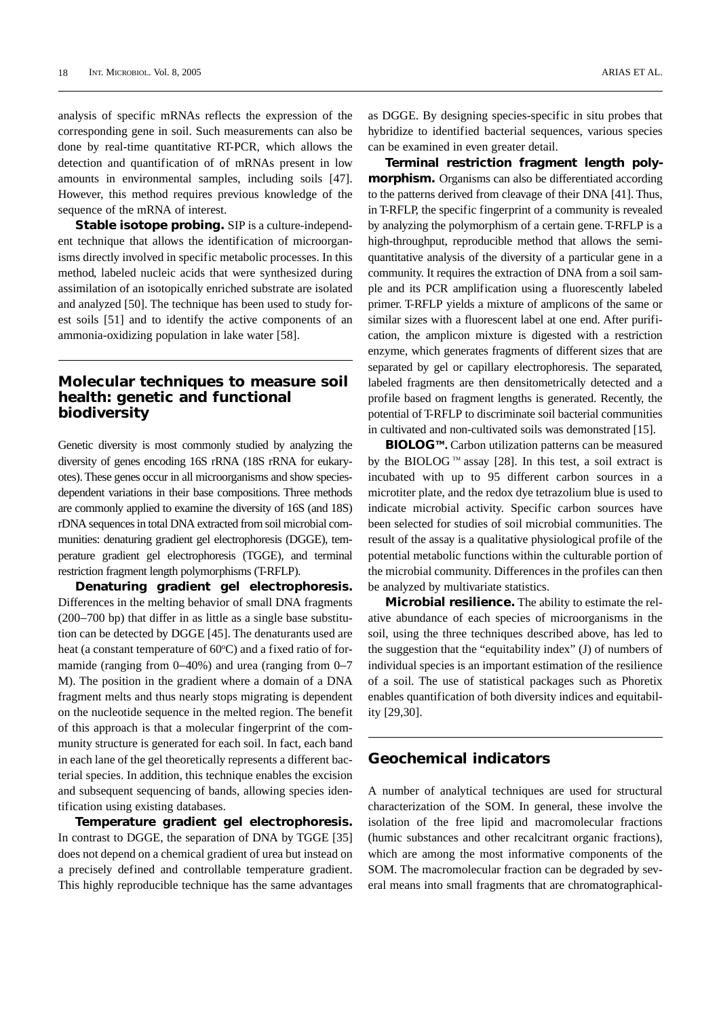analysis of specific mRNAs reflects the expression of the corresponding gene in soil. Such measurements can also be done by real-time quantitative RT-PCR, which allows the detection and quantification of of mRNAs present in low amounts in environmental samples, including soils [47]. However, this method requires previous knowledge of the sequence of the mRNA of interest.

**Stable isotope probing.** SIP is a culture-independent technique that allows the identification of microorganisms directly involved in specific metabolic processes. In this method, labeled nucleic acids that were synthesized during assimilation of an isotopically enriched substrate are isolated and analyzed [50]. The technique has been used to study forest soils [51] and to identify the active components of an ammonia-oxidizing population in lake water [58].

#### **Molecular techniques to measure soil health: genetic and functional biodiversity**

Genetic diversity is most commonly studied by analyzing the diversity of genes encoding 16S rRNA (18S rRNA for eukaryotes). These genes occur in all microorganisms and show speciesdependent variations in their base compositions. Three methods are commonly applied to examine the diversity of 16S (and 18S) rDNA sequences in total DNA extracted from soil microbial communities: denaturing gradient gel electrophoresis (DGGE), temperature gradient gel electrophoresis (TGGE), and terminal restriction fragment length polymorphisms (T-RFLP).

**Denaturing gradient gel electrophoresis.** Differences in the melting behavior of small DNA fragments (200−700 bp) that differ in as little as a single base substitution can be detected by DGGE [45]. The denaturants used are heat (a constant temperature of 60°C) and a fixed ratio of formamide (ranging from 0−40%) and urea (ranging from 0−7 M). The position in the gradient where a domain of a DNA fragment melts and thus nearly stops migrating is dependent on the nucleotide sequence in the melted region. The benefit of this approach is that a molecular fingerprint of the community structure is generated for each soil. In fact, each band in each lane of the gel theoretically represents a different bacterial species. In addition, this technique enables the excision and subsequent sequencing of bands, allowing species identification using existing databases.

**Temperature gradient gel electrophoresis.** In contrast to DGGE, the separation of DNA by TGGE [35] does not depend on a chemical gradient of urea but instead on a precisely defined and controllable temperature gradient. This highly reproducible technique has the same advantages

as DGGE. By designing species-specific in situ probes that hybridize to identified bacterial sequences, various species can be examined in even greater detail.

**Terminal restriction fragment length polymorphism.** Organisms can also be differentiated according to the patterns derived from cleavage of their DNA [41]. Thus, in T-RFLP, the specific fingerprint of a community is revealed by analyzing the polymorphism of a certain gene. T-RFLP is a high-throughput, reproducible method that allows the semiquantitative analysis of the diversity of a particular gene in a community. It requires the extraction of DNA from a soil sample and its PCR amplification using a fluorescently labeled primer. T-RFLP yields a mixture of amplicons of the same or similar sizes with a fluorescent label at one end. After purification, the amplicon mixture is digested with a restriction enzyme, which generates fragments of different sizes that are separated by gel or capillary electrophoresis. The separated, labeled fragments are then densitometrically detected and a profile based on fragment lengths is generated. Recently, the potential of T-RFLP to discriminate soil bacterial communities in cultivated and non-cultivated soils was demonstrated [15].

**BIOLOG™.** Carbon utilization patterns can be measured by the BIOLOG<sup>TM</sup> assay [28]. In this test, a soil extract is incubated with up to 95 different carbon sources in a microtiter plate, and the redox dye tetrazolium blue is used to indicate microbial activity. Specific carbon sources have been selected for studies of soil microbial communities. The result of the assay is a qualitative physiological profile of the potential metabolic functions within the culturable portion of the microbial community. Differences in the profiles can then be analyzed by multivariate statistics.

**Microbial resilience.** The ability to estimate the relative abundance of each species of microorganisms in the soil, using the three techniques described above, has led to the suggestion that the "equitability index" (J) of numbers of individual species is an important estimation of the resilience of a soil. The use of statistical packages such as Phoretix enables quantification of both diversity indices and equitability [29,30].

### **Geochemical indicators**

A number of analytical techniques are used for structural characterization of the SOM. In general, these involve the isolation of the free lipid and macromolecular fractions (humic substances and other recalcitrant organic fractions), which are among the most informative components of the SOM. The macromolecular fraction can be degraded by several means into small fragments that are chromatographical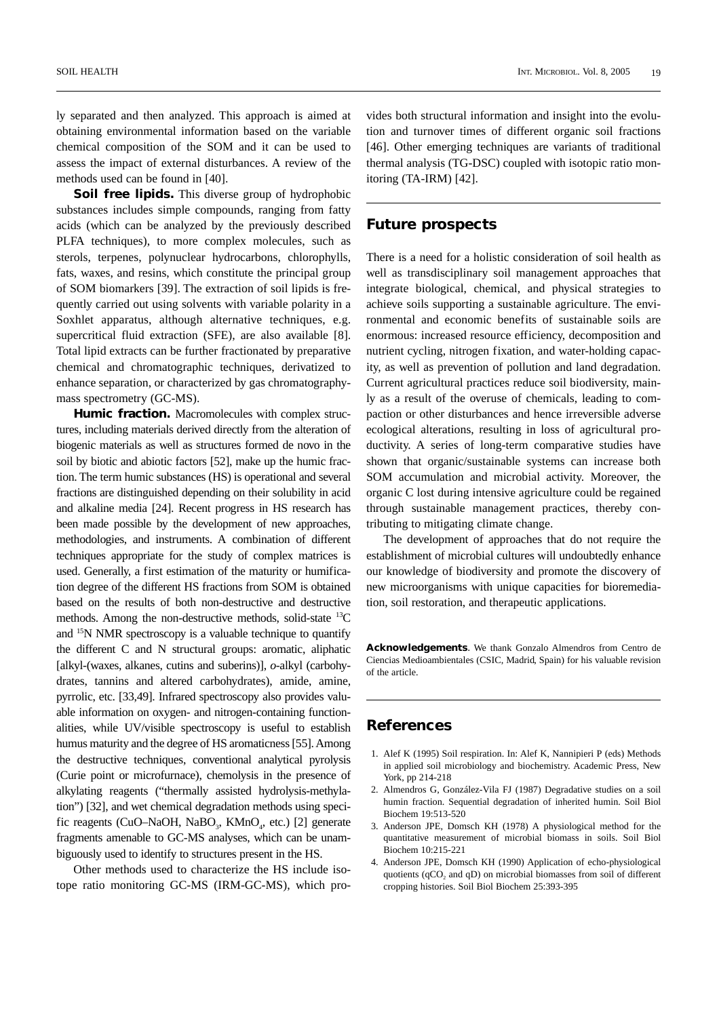ly separated and then analyzed. This approach is aimed at obtaining environmental information based on the variable chemical composition of the SOM and it can be used to assess the impact of external disturbances. A review of the methods used can be found in [40].

**Soil free lipids.** This diverse group of hydrophobic substances includes simple compounds, ranging from fatty acids (which can be analyzed by the previously described PLFA techniques), to more complex molecules, such as sterols, terpenes, polynuclear hydrocarbons, chlorophylls, fats, waxes, and resins, which constitute the principal group of SOM biomarkers [39]. The extraction of soil lipids is frequently carried out using solvents with variable polarity in a Soxhlet apparatus, although alternative techniques, e.g. supercritical fluid extraction (SFE), are also available [8]. Total lipid extracts can be further fractionated by preparative chemical and chromatographic techniques, derivatized to enhance separation, or characterized by gas chromatographymass spectrometry (GC-MS).

**Humic fraction.** Macromolecules with complex structures, including materials derived directly from the alteration of biogenic materials as well as structures formed de novo in the soil by biotic and abiotic factors [52], make up the humic fraction. The term humic substances (HS) is operational and several fractions are distinguished depending on their solubility in acid and alkaline media [24]. Recent progress in HS research has been made possible by the development of new approaches, methodologies, and instruments. A combination of different techniques appropriate for the study of complex matrices is used. Generally, a first estimation of the maturity or humification degree of the different HS fractions from SOM is obtained based on the results of both non-destructive and destructive methods. Among the non-destructive methods, solid-state <sup>13</sup>C and 15N NMR spectroscopy is a valuable technique to quantify the different C and N structural groups: aromatic, aliphatic [alkyl-(waxes, alkanes, cutins and suberins)], *o*-alkyl (carbohydrates, tannins and altered carbohydrates), amide, amine, pyrrolic, etc. [33,49]. Infrared spectroscopy also provides valuable information on oxygen- and nitrogen-containing functionalities, while UV/visible spectroscopy is useful to establish humus maturity and the degree of HS aromaticness [55]. Among the destructive techniques, conventional analytical pyrolysis (Curie point or microfurnace), chemolysis in the presence of alkylating reagents ("thermally assisted hydrolysis-methylation") [32], and wet chemical degradation methods using specific reagents (CuO–NaOH, NaBO<sub>3</sub>, KMnO<sub>4</sub>, etc.) [2] generate fragments amenable to GC-MS analyses, which can be unambiguously used to identify to structures present in the HS.

Other methods used to characterize the HS include isotope ratio monitoring GC-MS (IRM-GC-MS), which pro-

vides both structural information and insight into the evolution and turnover times of different organic soil fractions [46]. Other emerging techniques are variants of traditional thermal analysis (TG-DSC) coupled with isotopic ratio monitoring (TA-IRM) [42].

#### **Future prospects**

There is a need for a holistic consideration of soil health as well as transdisciplinary soil management approaches that integrate biological, chemical, and physical strategies to achieve soils supporting a sustainable agriculture. The environmental and economic benefits of sustainable soils are enormous: increased resource efficiency, decomposition and nutrient cycling, nitrogen fixation, and water-holding capacity, as well as prevention of pollution and land degradation. Current agricultural practices reduce soil biodiversity, mainly as a result of the overuse of chemicals, leading to compaction or other disturbances and hence irreversible adverse ecological alterations, resulting in loss of agricultural productivity. A series of long-term comparative studies have shown that organic/sustainable systems can increase both SOM accumulation and microbial activity. Moreover, the organic C lost during intensive agriculture could be regained through sustainable management practices, thereby contributing to mitigating climate change.

The development of approaches that do not require the establishment of microbial cultures will undoubtedly enhance our knowledge of biodiversity and promote the discovery of new microorganisms with unique capacities for bioremediation, soil restoration, and therapeutic applications.

**Acknowledgements**. We thank Gonzalo Almendros from Centro de Ciencias Medioambientales (CSIC, Madrid, Spain) for his valuable revision of the article.

#### **References**

- 1. Alef K (1995) Soil respiration. In: Alef K, Nannipieri P (eds) Methods in applied soil microbiology and biochemistry. Academic Press, New York, pp 214-218
- 2. Almendros G, González-Vila FJ (1987) Degradative studies on a soil humin fraction. Sequential degradation of inherited humin. Soil Biol Biochem 19:513-520
- 3. Anderson JPE, Domsch KH (1978) A physiological method for the quantitative measurement of microbial biomass in soils. Soil Biol Biochem 10:215-221
- 4. Anderson JPE, Domsch KH (1990) Application of echo-physiological quotients (qCO<sub>2</sub> and qD) on microbial biomasses from soil of different cropping histories. Soil Biol Biochem 25:393-395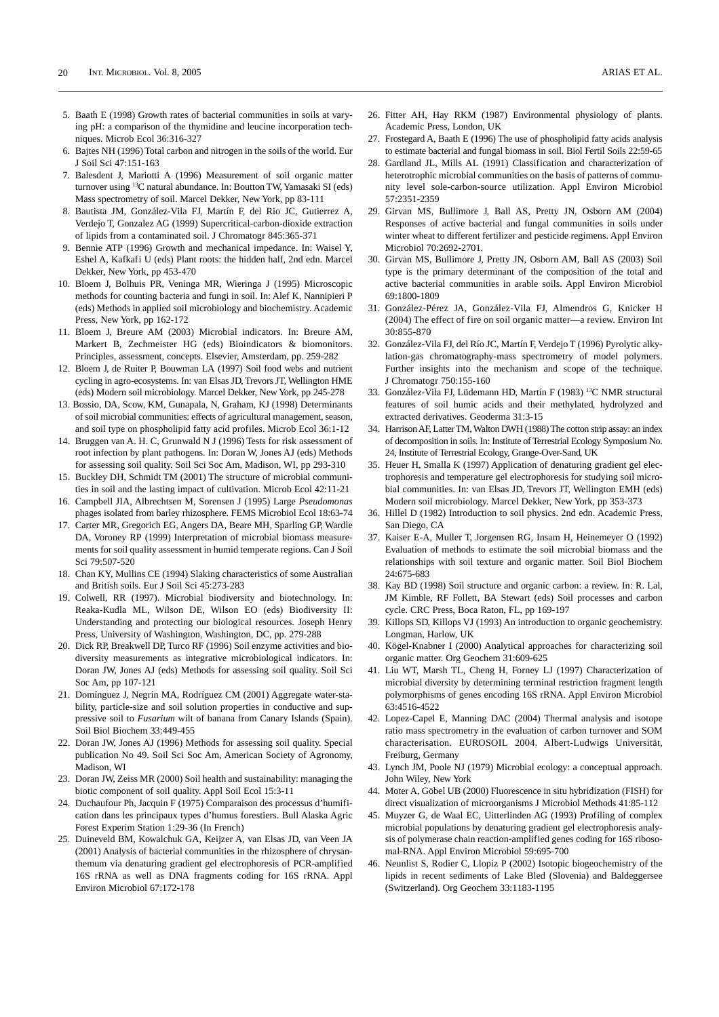- 5. Baath E (1998) Growth rates of bacterial communities in soils at varying pH: a comparison of the thymidine and leucine incorporation techniques. Microb Ecol 36:316-327
- 6. Bajtes NH (1996) Total carbon and nitrogen in the soils of the world. Eur J Soil Sci 47:151-163
- 7. Balesdent J, Mariotti A (1996) Measurement of soil organic matter turnover using 13C natural abundance. In: Boutton TW, Yamasaki SI (eds) Mass spectrometry of soil. Marcel Dekker, New York, pp 83-111
- 8. Bautista JM, González-Vila FJ, Martín F, del Rio JC, Gutierrez A, Verdejo T, Gonzalez AG (1999) Supercritical-carbon-dioxide extraction of lipids from a contaminated soil. J Chromatogr 845:365-371
- 9. Bennie ATP (1996) Growth and mechanical impedance. In: Waisel Y, Eshel A, Kafkafi U (eds) Plant roots: the hidden half, 2nd edn. Marcel Dekker, New York, pp 453-470
- 10. Bloem J, Bolhuis PR, Veninga MR, Wieringa J (1995) Microscopic methods for counting bacteria and fungi in soil. In: Alef K, Nannipieri P (eds) Methods in applied soil microbiology and biochemistry. Academic Press, New York, pp 162-172
- 11. Bloem J, Breure AM (2003) Microbial indicators. In: Breure AM, Markert B, Zechmeister HG (eds) Bioindicators & biomonitors. Principles, assessment, concepts. Elsevier, Amsterdam, pp. 259-282
- 12. Bloem J, de Ruiter P, Bouwman LA (1997) Soil food webs and nutrient cycling in agro-ecosystems. In: van Elsas JD, Trevors JT, Wellington HME (eds) Modern soil microbiology. Marcel Dekker, New York, pp 245-278
- 13. Bossio, DA, Scow, KM, Gunapala, N, Graham, KJ (1998) Determinants of soil microbial communities: effects of agricultural management, season, and soil type on phospholipid fatty acid profiles. Microb Ecol 36:1-12
- 14. Bruggen van A. H. C, Grunwald N J (1996) Tests for risk assessment of root infection by plant pathogens. In: Doran W, Jones AJ (eds) Methods for assessing soil quality. Soil Sci Soc Am, Madison, WI, pp 293-310
- 15. Buckley DH, Schmidt TM (2001) The structure of microbial communities in soil and the lasting impact of cultivation. Microb Ecol 42:11-21
- 16. Campbell JIA, Albrechtsen M, Sorensen J (1995) Large *Pseudomonas* phages isolated from barley rhizosphere. FEMS Microbiol Ecol 18:63-74
- 17. Carter MR, Gregorich EG, Angers DA, Beare MH, Sparling GP, Wardle DA, Voroney RP (1999) Interpretation of microbial biomass measurements for soil quality assessment in humid temperate regions. Can J Soil Sci 79:507-520
- 18. Chan KY, Mullins CE (1994) Slaking characteristics of some Australian and British soils. Eur J Soil Sci 45:273-283
- 19. Colwell, RR (1997). Microbial biodiversity and biotechnology. In: Reaka-Kudla ML, Wilson DE, Wilson EO (eds) Biodiversity II: Understanding and protecting our biological resources. Joseph Henry Press, University of Washington, Washington, DC, pp. 279-288
- 20. Dick RP, Breakwell DP, Turco RF (1996) Soil enzyme activities and biodiversity measurements as integrative microbiological indicators. In: Doran JW, Jones AJ (eds) Methods for assessing soil quality. Soil Sci Soc Am, pp 107-121
- 21. Domínguez J, Negrín MA, Rodríguez CM (2001) Aggregate water-stability, particle-size and soil solution properties in conductive and suppressive soil to *Fusarium* wilt of banana from Canary Islands (Spain). Soil Biol Biochem 33:449-455
- 22. Doran JW, Jones AJ (1996) Methods for assessing soil quality. Special publication No 49. Soil Sci Soc Am, American Society of Agronomy, Madison, WI
- 23. Doran JW, Zeiss MR (2000) Soil health and sustainability: managing the biotic component of soil quality. Appl Soil Ecol 15:3-11
- 24. Duchaufour Ph, Jacquin F (1975) Comparaison des processus d'humification dans les principaux types d'humus forestiers. Bull Alaska Agric Forest Experim Station 1:29-36 (In French)
- 25. Duineveld BM, Kowalchuk GA, Keijzer A, van Elsas JD, van Veen JA (2001) Analysis of bacterial communities in the rhizosphere of chrysanthemum via denaturing gradient gel electrophoresis of PCR-amplified 16S rRNA as well as DNA fragments coding for 16S rRNA. Appl Environ Microbiol 67:172-178
- 26. Fitter AH, Hay RKM (1987) Environmental physiology of plants. Academic Press, London, UK
- 27. Frostegard A, Baath E (1996) The use of phospholipid fatty acids analysis to estimate bacterial and fungal biomass in soil. Biol Fertil Soils 22:59-65
- 28. Gardland JL, Mills AL (1991) Classification and characterization of heterotrophic microbial communities on the basis of patterns of community level sole-carbon-source utilization. Appl Environ Microbiol 57:2351-2359
- 29. Girvan MS, Bullimore J, Ball AS, Pretty JN, Osborn AM (2004) Responses of active bacterial and fungal communities in soils under winter wheat to different fertilizer and pesticide regimens. Appl Environ Microbiol 70:2692-2701.
- 30. Girvan MS, Bullimore J, Pretty JN, Osborn AM, Ball AS (2003) Soil type is the primary determinant of the composition of the total and active bacterial communities in arable soils. Appl Environ Microbiol 69:1800-1809
- 31. González-Pérez JA, González-Vila FJ, Almendros G, Knicker H (2004) The effect of fire on soil organic matter—a review. Environ Int 30:855-870
- 32. González-Vila FJ, del Río JC, Martín F, Verdejo T (1996) Pyrolytic alkylation-gas chromatography-mass spectrometry of model polymers. Further insights into the mechanism and scope of the technique. J Chromatogr 750:155-160
- 33. González-Vila FJ, Lüdemann HD, Martín F (1983) 13C NMR structural features of soil humic acids and their methylated, hydrolyzed and extracted derivatives. Geoderma 31:3-15
- 34. Harrison AF, Latter TM, Walton DWH (1988) The cotton strip assay: an index of decomposition in soils. In: Institute of Terrestrial Ecology Symposium No. 24, Institute of Terrestrial Ecology, Grange-Over-Sand, UK
- 35. Heuer H, Smalla K (1997) Application of denaturing gradient gel electrophoresis and temperature gel electrophoresis for studying soil microbial communities. In: van Elsas JD, Trevors JT, Wellington EMH (eds) Modern soil microbiology. Marcel Dekker, New York, pp 353-373
- 36. Hillel D (1982) Introduction to soil physics. 2nd edn. Academic Press, San Diego, CA
- 37. Kaiser E-A, Muller T, Jorgensen RG, Insam H, Heinemeyer O (1992) Evaluation of methods to estimate the soil microbial biomass and the relationships with soil texture and organic matter. Soil Biol Biochem 24:675-683
- 38. Kay BD (1998) Soil structure and organic carbon: a review. In: R. Lal, JM Kimble, RF Follett, BA Stewart (eds) Soil processes and carbon cycle. CRC Press, Boca Raton, FL, pp 169-197
- 39. Killops SD, Killops VJ (1993) An introduction to organic geochemistry. Longman, Harlow, UK
- 40. Kögel-Knabner I (2000) Analytical approaches for characterizing soil organic matter. Org Geochem 31:609-625
- 41. Liu WT, Marsh TL, Cheng H, Forney LJ (1997) Characterization of microbial diversity by determining terminal restriction fragment length polymorphisms of genes encoding 16S rRNA. Appl Environ Microbiol 63:4516-4522
- 42. Lopez-Capel E, Manning DAC (2004) Thermal analysis and isotope ratio mass spectrometry in the evaluation of carbon turnover and SOM characterisation. EUROSOIL 2004. Albert-Ludwigs Universität, Freiburg, Germany
- 43. Lynch JM, Poole NJ (1979) Microbial ecology: a conceptual approach. John Wiley, New York
- 44. Moter A, Göbel UB (2000) Fluorescence in situ hybridization (FISH) for direct visualization of microorganisms J Microbiol Methods 41:85-112
- 45. Muyzer G, de Waal EC, Uitterlinden AG (1993) Profiling of complex microbial populations by denaturing gradient gel electrophoresis analysis of polymerase chain reaction-amplified genes coding for 16S ribosomal-RNA. Appl Environ Microbiol 59:695-700
- 46. Neunlist S, Rodier C, Llopiz P (2002) Isotopic biogeochemistry of the lipids in recent sediments of Lake Bled (Slovenia) and Baldeggersee (Switzerland). Org Geochem 33:1183-1195